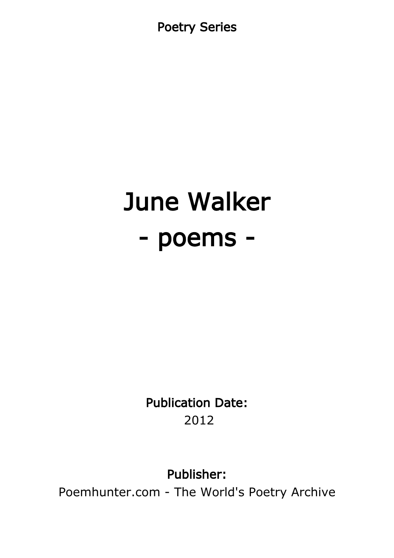Poetry Series

# June Walker - poems -

Publication Date: 2012

Publisher:

Poemhunter.com - The World's Poetry Archive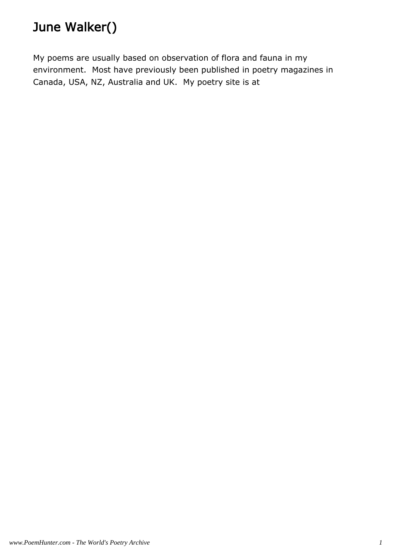# June Walker()

My poems are usually based on observation of flora and fauna in my environment. Most have previously been published in poetry magazines in Canada, USA, NZ, Australia and UK. My poetry site is at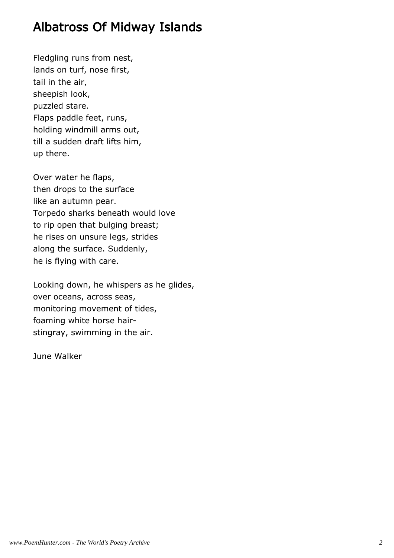#### Albatross Of Midway Islands

Fledgling runs from nest, lands on turf, nose first, tail in the air, sheepish look, puzzled stare. Flaps paddle feet, runs, holding windmill arms out, till a sudden draft lifts him, up there.

Over water he flaps, then drops to the surface like an autumn pear. Torpedo sharks beneath would love to rip open that bulging breast; he rises on unsure legs, strides along the surface. Suddenly, he is flying with care.

Looking down, he whispers as he glides, over oceans, across seas, monitoring movement of tides, foaming white horse hairstingray, swimming in the air.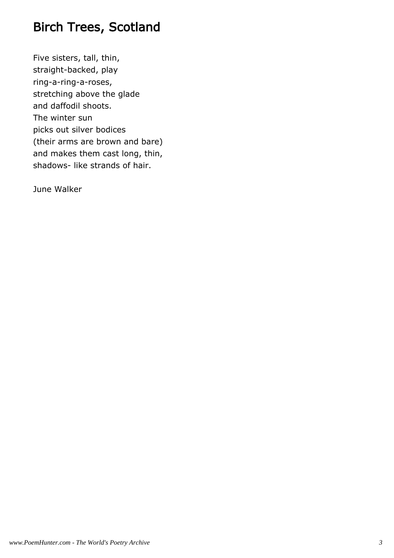# Birch Trees, Scotland

Five sisters, tall, thin, straight-backed, play ring-a-ring-a-roses, stretching above the glade and daffodil shoots. The winter sun picks out silver bodices (their arms are brown and bare) and makes them cast long, thin, shadows- like strands of hair.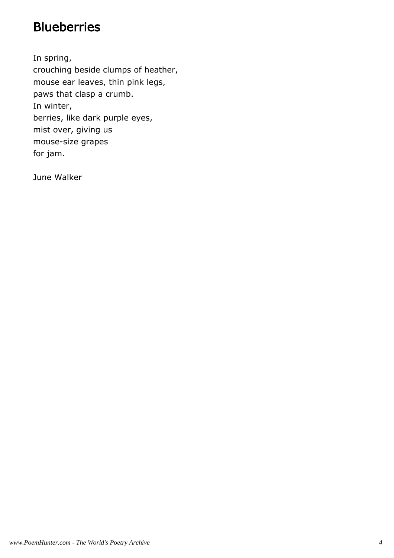## **Blueberries**

In spring, crouching beside clumps of heather, mouse ear leaves, thin pink legs, paws that clasp a crumb. In winter, berries, like dark purple eyes, mist over, giving us mouse-size grapes for jam.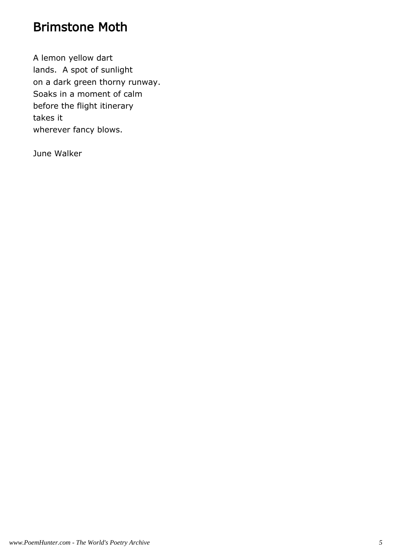#### Brimstone Moth

A lemon yellow dart lands. A spot of sunlight on a dark green thorny runway. Soaks in a moment of calm before the flight itinerary takes it wherever fancy blows.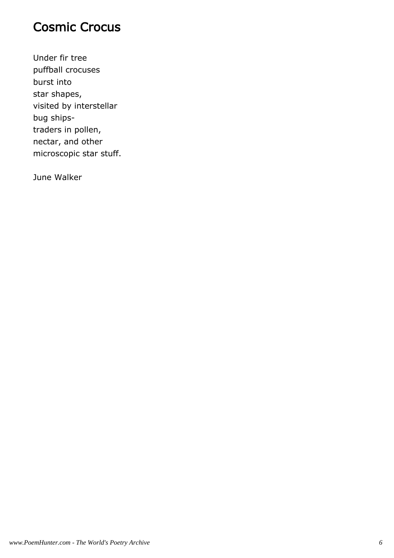### Cosmic Crocus

Under fir tree puffball crocuses burst into star shapes, visited by interstellar bug shipstraders in pollen, nectar, and other microscopic star stuff.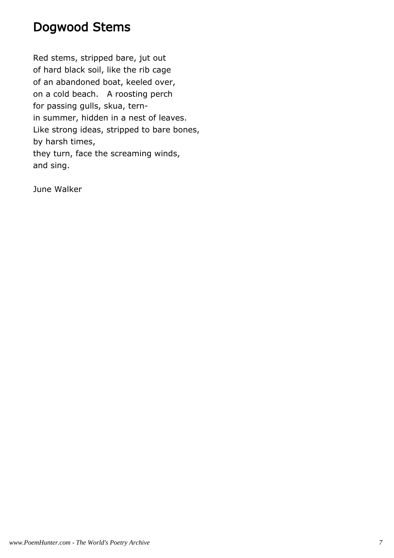#### Dogwood Stems

Red stems, stripped bare, jut out of hard black soil, like the rib cage of an abandoned boat, keeled over, on a cold beach. A roosting perch for passing gulls, skua, ternin summer, hidden in a nest of leaves. Like strong ideas, stripped to bare bones, by harsh times, they turn, face the screaming winds, and sing.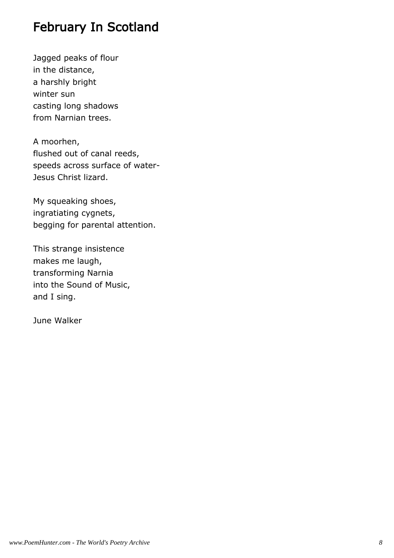# February In Scotland

Jagged peaks of flour in the distance, a harshly bright winter sun casting long shadows from Narnian trees.

A moorhen, flushed out of canal reeds, speeds across surface of water-Jesus Christ lizard.

My squeaking shoes, ingratiating cygnets, begging for parental attention.

This strange insistence makes me laugh, transforming Narnia into the Sound of Music, and I sing.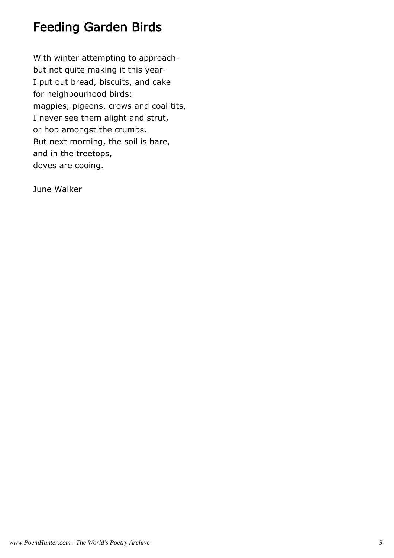# Feeding Garden Birds

With winter attempting to approachbut not quite making it this year-I put out bread, biscuits, and cake for neighbourhood birds: magpies, pigeons, crows and coal tits, I never see them alight and strut, or hop amongst the crumbs. But next morning, the soil is bare, and in the treetops, doves are cooing.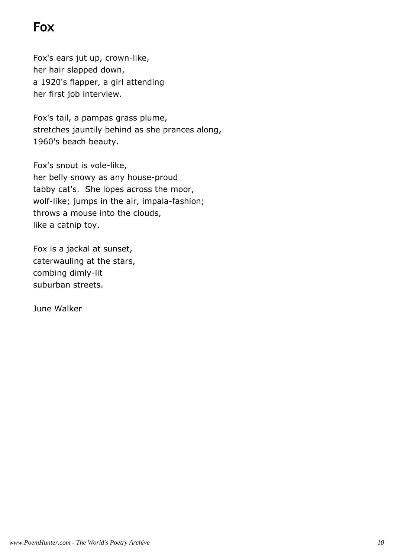# Fox

Fox's ears jut up, crown-like, her hair slapped down, a 1920's flapper, a girl attending her first job interview.

Fox's tail, a pampas grass plume, stretches jauntily behind as she prances along, 1960's beach beauty.

Fox's snout is vole-like, her belly snowy as any house-proud tabby cat's. She lopes across the moor, wolf-like; jumps in the air, impala-fashion; throws a mouse into the clouds, like a catnip toy.

Fox is a jackal at sunset, caterwauling at the stars, combing dimly-lit suburban streets.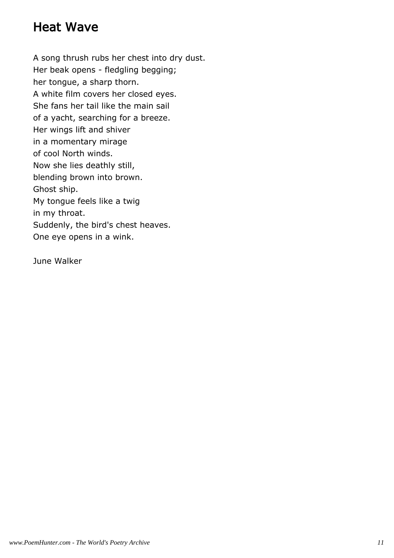# Heat Wave

A song thrush rubs her chest into dry dust. Her beak opens - fledgling begging; her tongue, a sharp thorn. A white film covers her closed eyes. She fans her tail like the main sail of a yacht, searching for a breeze. Her wings lift and shiver in a momentary mirage of cool North winds. Now she lies deathly still, blending brown into brown. Ghost ship. My tongue feels like a twig in my throat. Suddenly, the bird's chest heaves. One eye opens in a wink.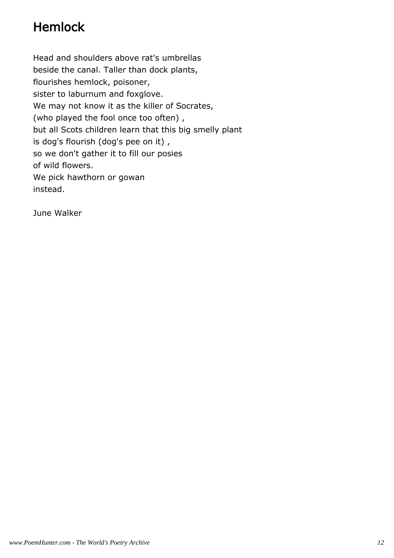# Hemlock

Head and shoulders above rat's umbrellas beside the canal. Taller than dock plants, flourishes hemlock, poisoner, sister to laburnum and foxglove. We may not know it as the killer of Socrates, (who played the fool once too often) , but all Scots children learn that this big smelly plant is dog's flourish (dog's pee on it) , so we don't gather it to fill our posies of wild flowers. We pick hawthorn or gowan instead.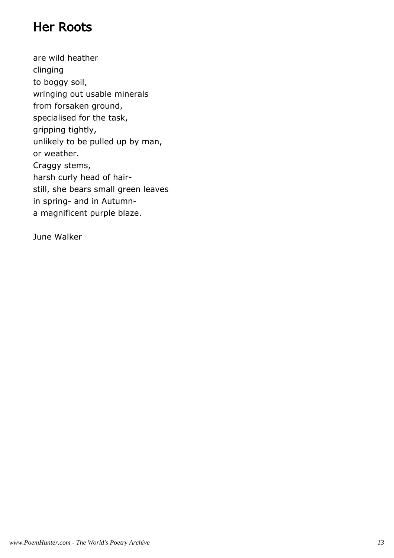## Her Roots

are wild heather clinging to boggy soil, wringing out usable minerals from forsaken ground, specialised for the task, gripping tightly, unlikely to be pulled up by man, or weather. Craggy stems, harsh curly head of hairstill, she bears small green leaves in spring- and in Autumna magnificent purple blaze.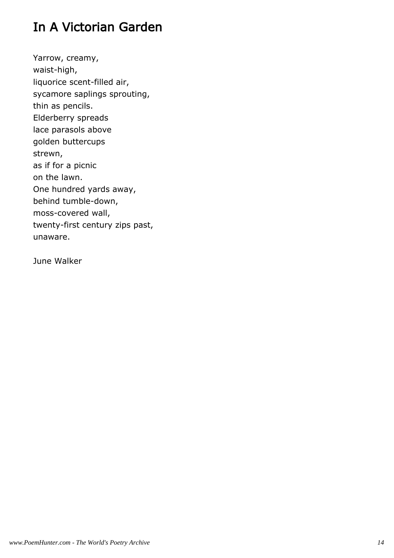# In A Victorian Garden

Yarrow, creamy, waist-high, liquorice scent-filled air, sycamore saplings sprouting, thin as pencils. Elderberry spreads lace parasols above golden buttercups strewn, as if for a picnic on the lawn. One hundred yards away, behind tumble-down, moss-covered wall, twenty-first century zips past, unaware.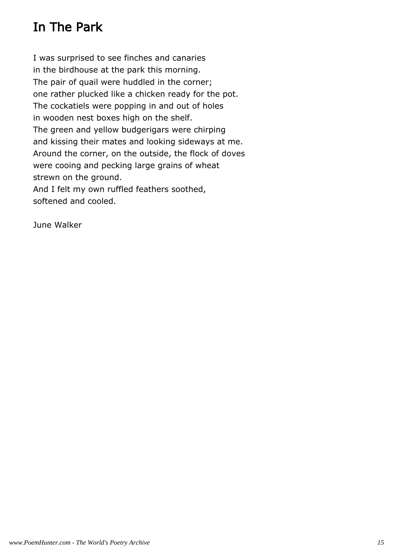# In The Park

I was surprised to see finches and canaries in the birdhouse at the park this morning. The pair of quail were huddled in the corner; one rather plucked like a chicken ready for the pot. The cockatiels were popping in and out of holes in wooden nest boxes high on the shelf. The green and yellow budgerigars were chirping and kissing their mates and looking sideways at me. Around the corner, on the outside, the flock of doves were cooing and pecking large grains of wheat strewn on the ground. And I felt my own ruffled feathers soothed,

softened and cooled.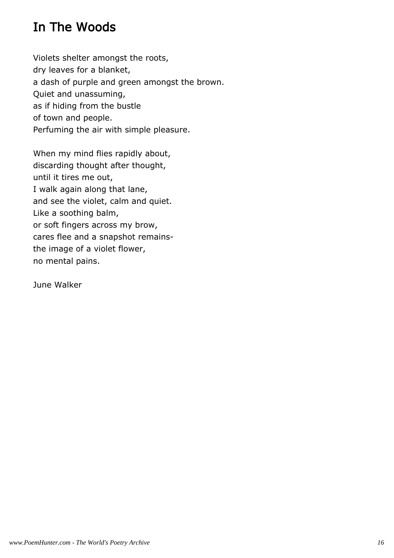# In The Woods

Violets shelter amongst the roots, dry leaves for a blanket, a dash of purple and green amongst the brown. Quiet and unassuming, as if hiding from the bustle of town and people. Perfuming the air with simple pleasure.

When my mind flies rapidly about, discarding thought after thought, until it tires me out, I walk again along that lane, and see the violet, calm and quiet. Like a soothing balm, or soft fingers across my brow, cares flee and a snapshot remainsthe image of a violet flower, no mental pains.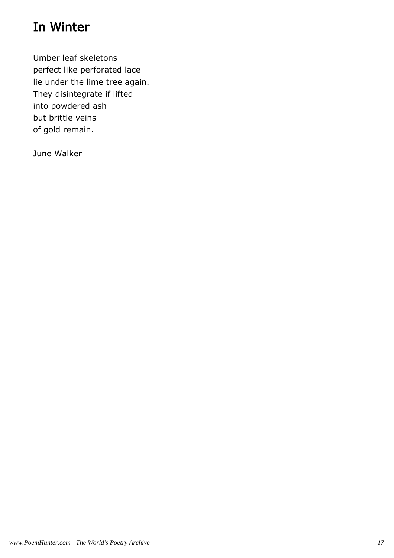# In Winter

Umber leaf skeletons perfect like perforated lace lie under the lime tree again. They disintegrate if lifted into powdered ash but brittle veins of gold remain.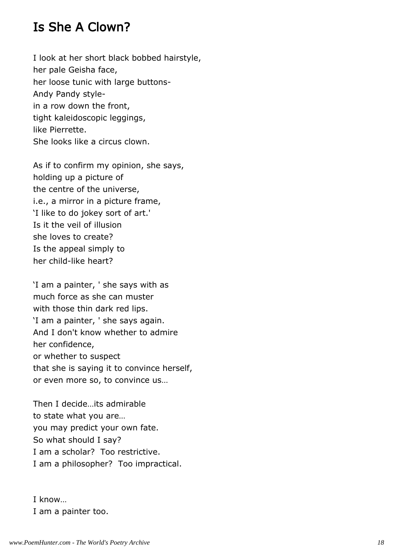#### Is She A Clown?

I look at her short black bobbed hairstyle, her pale Geisha face, her loose tunic with large buttons-Andy Pandy stylein a row down the front, tight kaleidoscopic leggings, like Pierrette. She looks like a circus clown.

As if to confirm my opinion, she says, holding up a picture of the centre of the universe, i.e., a mirror in a picture frame, 'I like to do jokey sort of art.' Is it the veil of illusion she loves to create? Is the appeal simply to her child-like heart?

'I am a painter, ' she says with as much force as she can muster with those thin dark red lips. 'I am a painter, ' she says again. And I don't know whether to admire her confidence, or whether to suspect that she is saying it to convince herself, or even more so, to convince us…

Then I decide…its admirable to state what you are… you may predict your own fate. So what should I say? I am a scholar? Too restrictive. I am a philosopher? Too impractical.

I know… I am a painter too.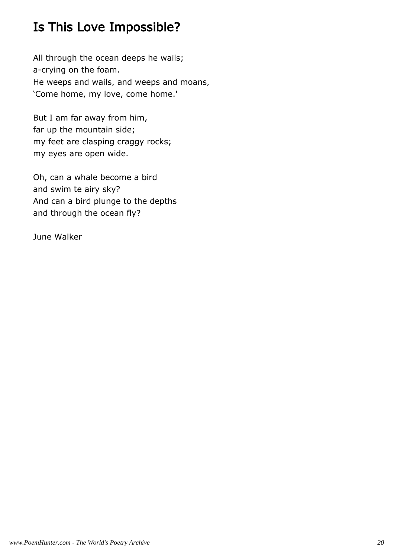# Is This Love Impossible?

All through the ocean deeps he wails; a-crying on the foam. He weeps and wails, and weeps and moans, 'Come home, my love, come home.'

But I am far away from him, far up the mountain side; my feet are clasping craggy rocks; my eyes are open wide.

Oh, can a whale become a bird and swim te airy sky? And can a bird plunge to the depths and through the ocean fly?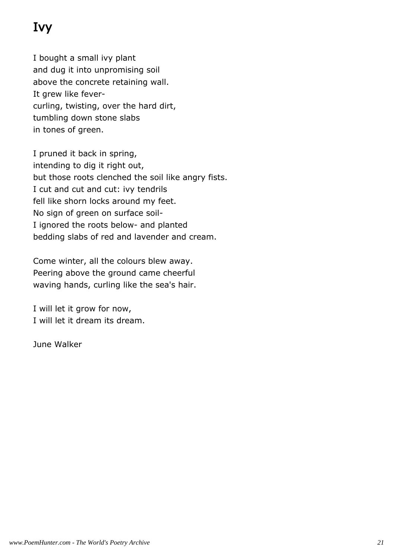# Ivy

I bought a small ivy plant and dug it into unpromising soil above the concrete retaining wall. It grew like fevercurling, twisting, over the hard dirt, tumbling down stone slabs in tones of green.

I pruned it back in spring, intending to dig it right out, but those roots clenched the soil like angry fists. I cut and cut and cut: ivy tendrils fell like shorn locks around my feet. No sign of green on surface soil-I ignored the roots below- and planted bedding slabs of red and lavender and cream.

Come winter, all the colours blew away. Peering above the ground came cheerful waving hands, curling like the sea's hair.

I will let it grow for now, I will let it dream its dream.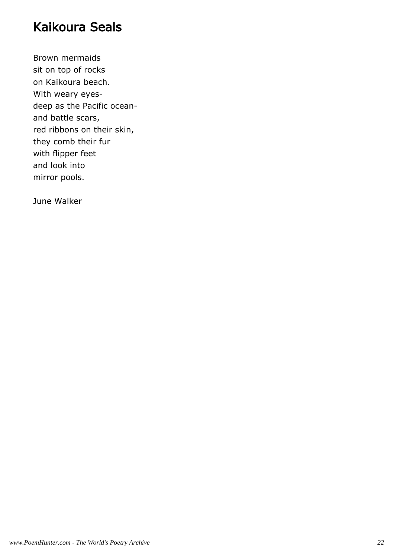#### Kaikoura Seals

Brown mermaids sit on top of rocks on Kaikoura beach. With weary eyesdeep as the Pacific oceanand battle scars, red ribbons on their skin, they comb their fur with flipper feet and look into mirror pools.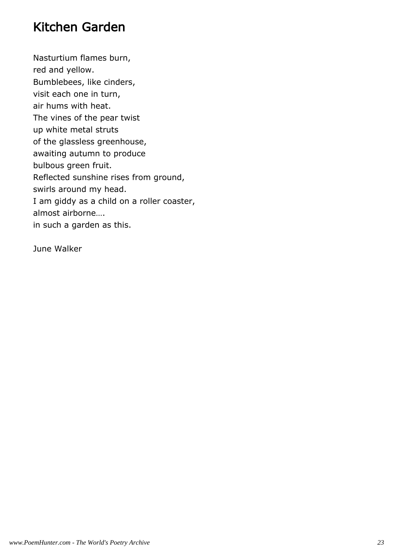#### Kitchen Garden

Nasturtium flames burn, red and yellow. Bumblebees, like cinders, visit each one in turn, air hums with heat. The vines of the pear twist up white metal struts of the glassless greenhouse, awaiting autumn to produce bulbous green fruit. Reflected sunshine rises from ground, swirls around my head. I am giddy as a child on a roller coaster, almost airborne…. in such a garden as this.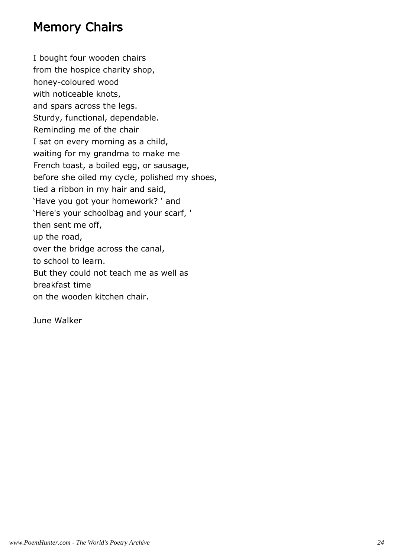#### Memory Chairs

I bought four wooden chairs from the hospice charity shop, honey-coloured wood with noticeable knots, and spars across the legs. Sturdy, functional, dependable. Reminding me of the chair I sat on every morning as a child, waiting for my grandma to make me French toast, a boiled egg, or sausage, before she oiled my cycle, polished my shoes, tied a ribbon in my hair and said, 'Have you got your homework? ' and 'Here's your schoolbag and your scarf, ' then sent me off, up the road, over the bridge across the canal, to school to learn. But they could not teach me as well as breakfast time on the wooden kitchen chair.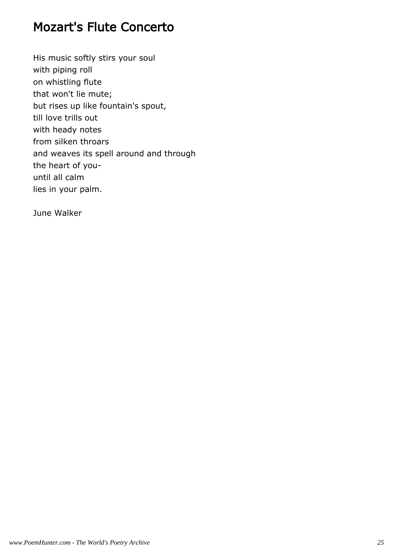## Mozart's Flute Concerto

His music softly stirs your soul with piping roll on whistling flute that won't lie mute; but rises up like fountain's spout, till love trills out with heady notes from silken throars and weaves its spell around and through the heart of youuntil all calm lies in your palm.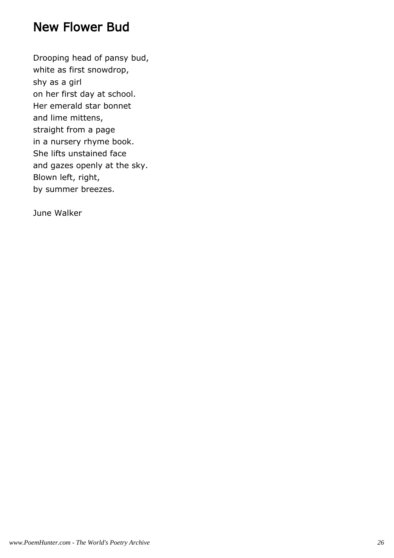#### New Flower Bud

Drooping head of pansy bud, white as first snowdrop, shy as a girl on her first day at school. Her emerald star bonnet and lime mittens, straight from a page in a nursery rhyme book. She lifts unstained face and gazes openly at the sky. Blown left, right, by summer breezes.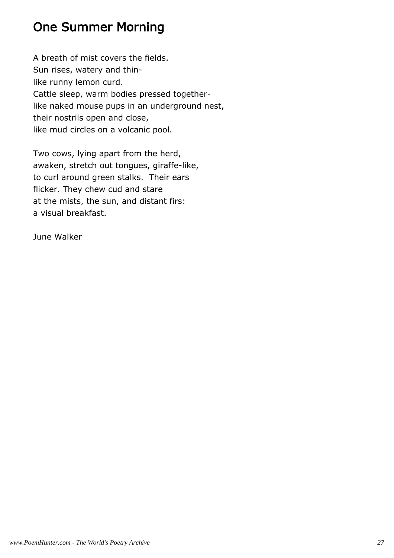# One Summer Morning

A breath of mist covers the fields. Sun rises, watery and thinlike runny lemon curd. Cattle sleep, warm bodies pressed togetherlike naked mouse pups in an underground nest, their nostrils open and close, like mud circles on a volcanic pool.

Two cows, lying apart from the herd, awaken, stretch out tongues, giraffe-like, to curl around green stalks. Their ears flicker. They chew cud and stare at the mists, the sun, and distant firs: a visual breakfast.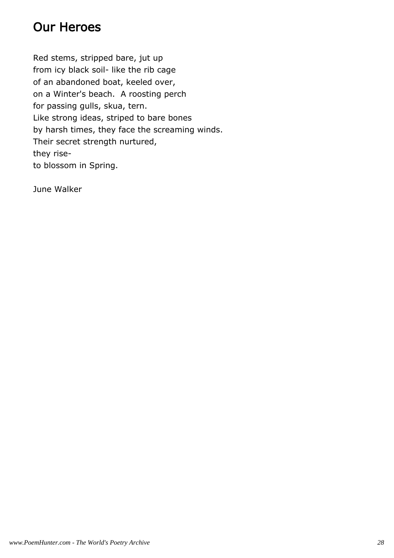# Our Heroes

Red stems, stripped bare, jut up from icy black soil- like the rib cage of an abandoned boat, keeled over, on a Winter's beach. A roosting perch for passing gulls, skua, tern. Like strong ideas, striped to bare bones by harsh times, they face the screaming winds. Their secret strength nurtured, they riseto blossom in Spring.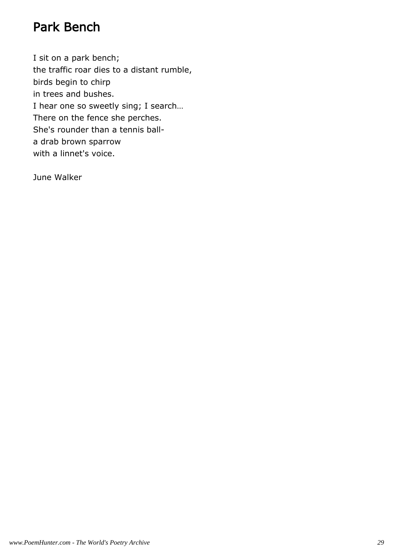## Park Bench

I sit on a park bench; the traffic roar dies to a distant rumble, birds begin to chirp in trees and bushes. I hear one so sweetly sing; I search… There on the fence she perches. She's rounder than a tennis balla drab brown sparrow with a linnet's voice.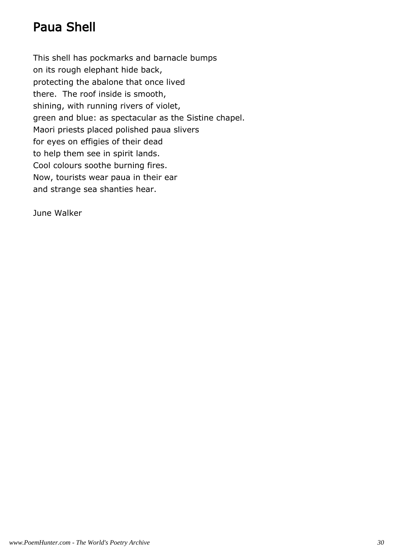# Paua Shell

This shell has pockmarks and barnacle bumps on its rough elephant hide back, protecting the abalone that once lived there. The roof inside is smooth, shining, with running rivers of violet, green and blue: as spectacular as the Sistine chapel. Maori priests placed polished paua slivers for eyes on effigies of their dead to help them see in spirit lands. Cool colours soothe burning fires. Now, tourists wear paua in their ear and strange sea shanties hear.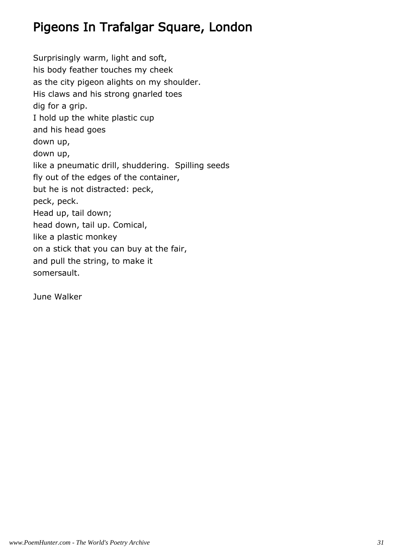# Pigeons In Trafalgar Square, London

Surprisingly warm, light and soft, his body feather touches my cheek as the city pigeon alights on my shoulder. His claws and his strong gnarled toes dig for a grip. I hold up the white plastic cup and his head goes down up, down up, like a pneumatic drill, shuddering. Spilling seeds fly out of the edges of the container, but he is not distracted: peck, peck, peck. Head up, tail down; head down, tail up. Comical, like a plastic monkey on a stick that you can buy at the fair, and pull the string, to make it somersault.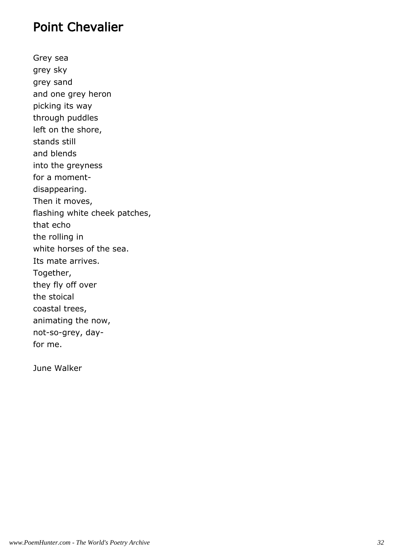#### Point Chevalier

Grey sea grey sky grey sand and one grey heron picking its way through puddles left on the shore, stands still and blends into the greyness for a momentdisappearing. Then it moves, flashing white cheek patches, that echo the rolling in white horses of the sea. Its mate arrives. Together, they fly off over the stoical coastal trees, animating the now, not-so-grey, dayfor me.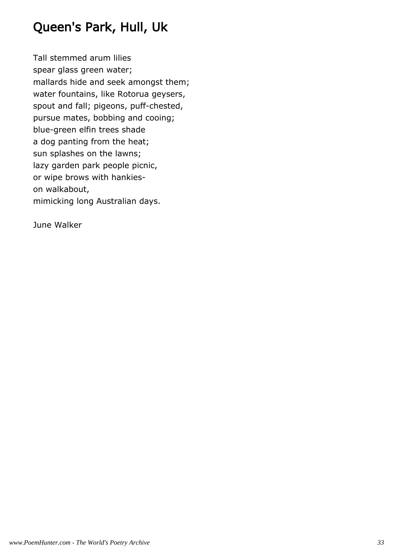# Queen's Park, Hull, Uk

Tall stemmed arum lilies spear glass green water; mallards hide and seek amongst them; water fountains, like Rotorua geysers, spout and fall; pigeons, puff-chested, pursue mates, bobbing and cooing; blue-green elfin trees shade a dog panting from the heat; sun splashes on the lawns; lazy garden park people picnic, or wipe brows with hankieson walkabout, mimicking long Australian days.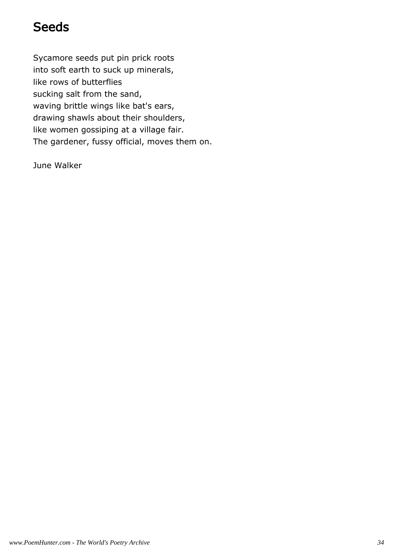## **Seeds**

Sycamore seeds put pin prick roots into soft earth to suck up minerals, like rows of butterflies sucking salt from the sand, waving brittle wings like bat's ears, drawing shawls about their shoulders, like women gossiping at a village fair. The gardener, fussy official, moves them on.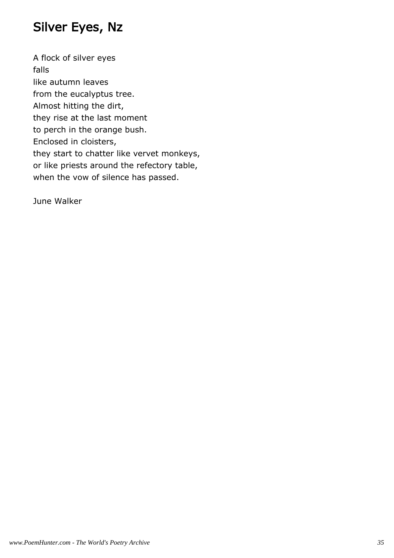# Silver Eyes, Nz

A flock of silver eyes falls like autumn leaves from the eucalyptus tree. Almost hitting the dirt, they rise at the last moment to perch in the orange bush. Enclosed in cloisters, they start to chatter like vervet monkeys, or like priests around the refectory table, when the vow of silence has passed.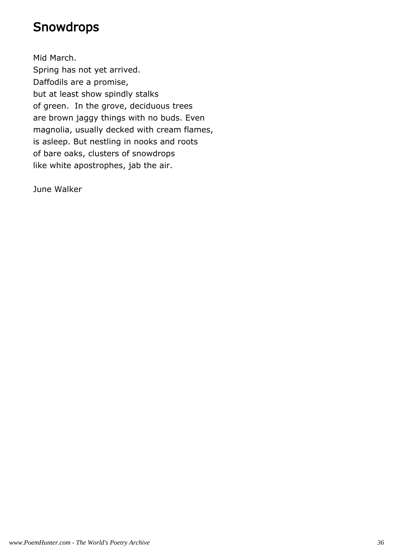#### **Snowdrops**

Mid March. Spring has not yet arrived. Daffodils are a promise, but at least show spindly stalks of green. In the grove, deciduous trees are brown jaggy things with no buds. Even magnolia, usually decked with cream flames, is asleep. But nestling in nooks and roots of bare oaks, clusters of snowdrops like white apostrophes, jab the air.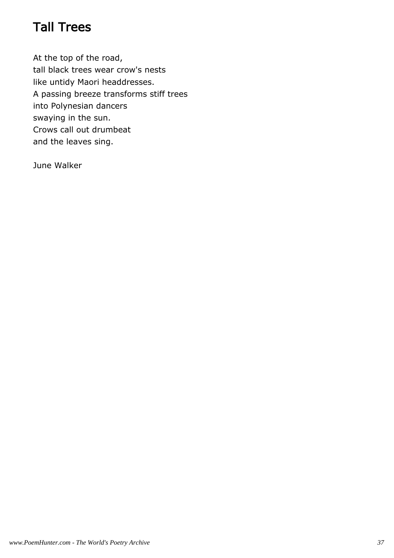# Tall Trees

At the top of the road, tall black trees wear crow's nests like untidy Maori headdresses. A passing breeze transforms stiff trees into Polynesian dancers swaying in the sun. Crows call out drumbeat and the leaves sing.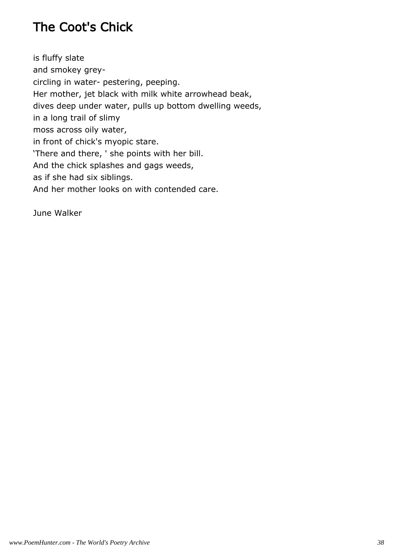# The Coot's Chick

is fluffy slate and smokey greycircling in water- pestering, peeping. Her mother, jet black with milk white arrowhead beak, dives deep under water, pulls up bottom dwelling weeds, in a long trail of slimy moss across oily water, in front of chick's myopic stare. 'There and there, ' she points with her bill. And the chick splashes and gags weeds, as if she had six siblings. And her mother looks on with contended care.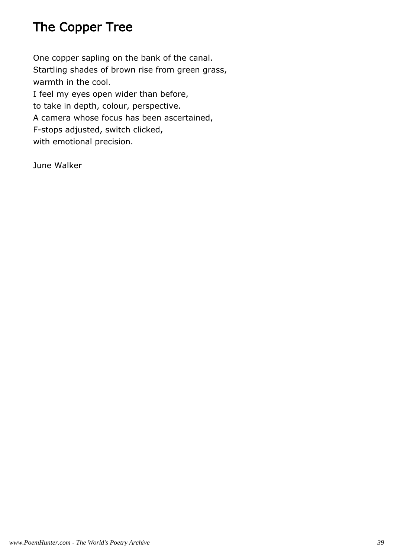# The Copper Tree

One copper sapling on the bank of the canal. Startling shades of brown rise from green grass, warmth in the cool. I feel my eyes open wider than before, to take in depth, colour, perspective. A camera whose focus has been ascertained, F-stops adjusted, switch clicked, with emotional precision.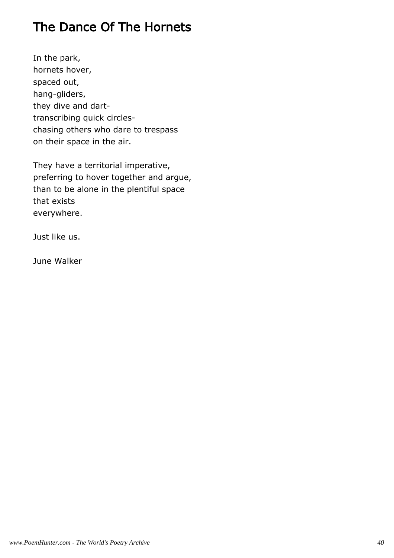# The Dance Of The Hornets

In the park, hornets hover, spaced out, hang-gliders, they dive and darttranscribing quick circleschasing others who dare to trespass on their space in the air.

They have a territorial imperative, preferring to hover together and argue, than to be alone in the plentiful space that exists everywhere.

Just like us.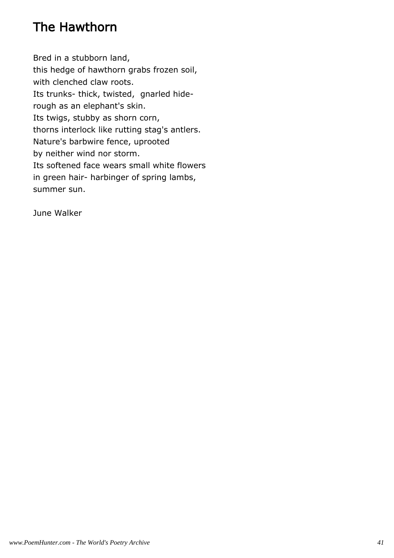# The Hawthorn

Bred in a stubborn land, this hedge of hawthorn grabs frozen soil, with clenched claw roots. Its trunks- thick, twisted, gnarled hiderough as an elephant's skin. Its twigs, stubby as shorn corn, thorns interlock like rutting stag's antlers. Nature's barbwire fence, uprooted by neither wind nor storm. Its softened face wears small white flowers in green hair- harbinger of spring lambs, summer sun.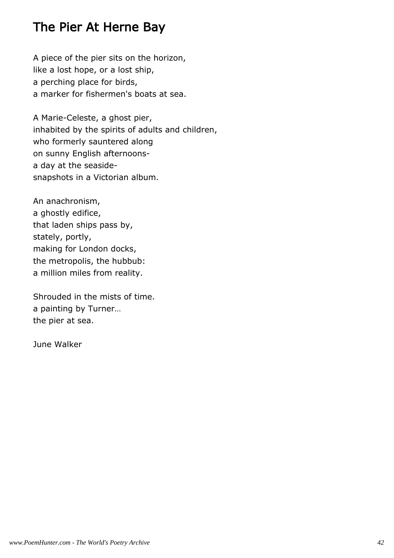#### The Pier At Herne Bay

A piece of the pier sits on the horizon, like a lost hope, or a lost ship, a perching place for birds, a marker for fishermen's boats at sea.

A Marie-Celeste, a ghost pier, inhabited by the spirits of adults and children, who formerly sauntered along on sunny English afternoonsa day at the seasidesnapshots in a Victorian album.

An anachronism, a ghostly edifice, that laden ships pass by, stately, portly, making for London docks, the metropolis, the hubbub: a million miles from reality.

Shrouded in the mists of time. a painting by Turner… the pier at sea.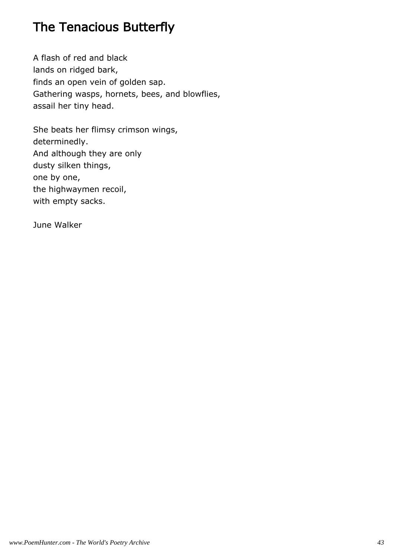# The Tenacious Butterfly

A flash of red and black lands on ridged bark, finds an open vein of golden sap. Gathering wasps, hornets, bees, and blowflies, assail her tiny head.

She beats her flimsy crimson wings, determinedly. And although they are only dusty silken things, one by one, the highwaymen recoil, with empty sacks.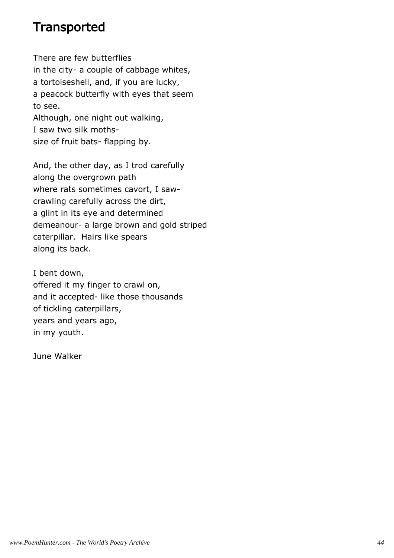#### **Transported**

There are few butterflies in the city- a couple of cabbage whites, a tortoiseshell, and, if you are lucky, a peacock butterfly with eyes that seem to see. Although, one night out walking, I saw two silk moths-

size of fruit bats- flapping by.

And, the other day, as I trod carefully along the overgrown path where rats sometimes cavort, I sawcrawling carefully across the dirt, a glint in its eye and determined demeanour- a large brown and gold striped caterpillar. Hairs like spears along its back.

I bent down, offered it my finger to crawl on, and it accepted- like those thousands of tickling caterpillars, years and years ago, in my youth.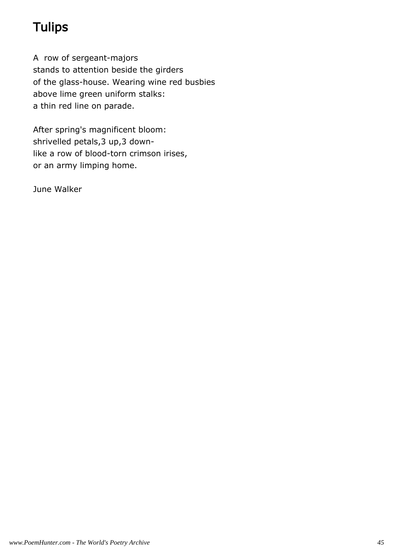# **Tulips**

A row of sergeant-majors stands to attention beside the girders of the glass-house. Wearing wine red busbies above lime green uniform stalks: a thin red line on parade.

After spring's magnificent bloom: shrivelled petals,3 up,3 downlike a row of blood-torn crimson irises, or an army limping home.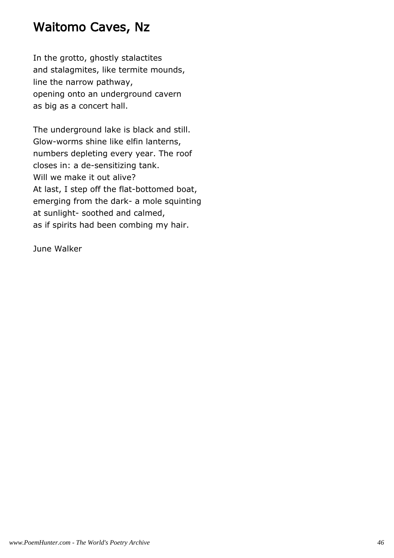#### Waitomo Caves, Nz

In the grotto, ghostly stalactites and stalagmites, like termite mounds, line the narrow pathway, opening onto an underground cavern as big as a concert hall.

The underground lake is black and still. Glow-worms shine like elfin lanterns, numbers depleting every year. The roof closes in: a de-sensitizing tank. Will we make it out alive? At last, I step off the flat-bottomed boat, emerging from the dark- a mole squinting at sunlight- soothed and calmed, as if spirits had been combing my hair.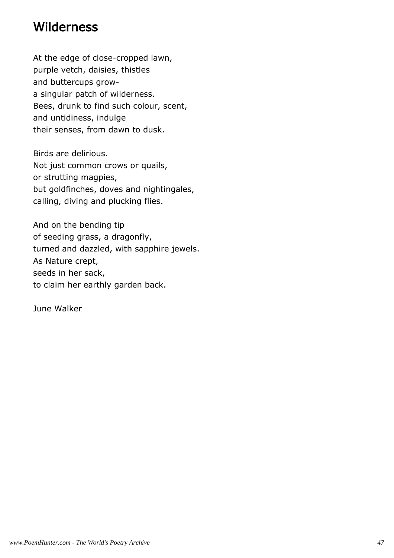#### **Wilderness**

At the edge of close-cropped lawn, purple vetch, daisies, thistles and buttercups growa singular patch of wilderness. Bees, drunk to find such colour, scent, and untidiness, indulge their senses, from dawn to dusk.

Birds are delirious. Not just common crows or quails, or strutting magpies, but goldfinches, doves and nightingales, calling, diving and plucking flies.

And on the bending tip of seeding grass, a dragonfly, turned and dazzled, with sapphire jewels. As Nature crept, seeds in her sack, to claim her earthly garden back.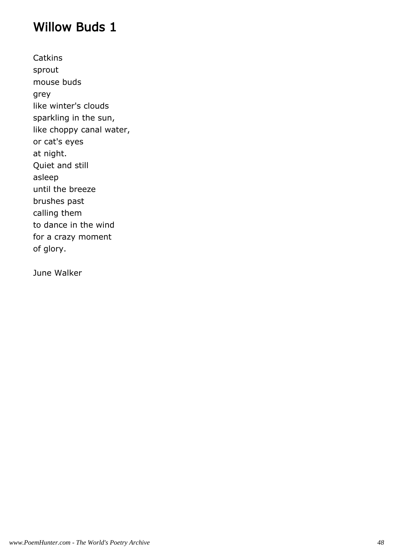#### Willow Buds 1

**Catkins** sprout mouse buds grey like winter's clouds sparkling in the sun, like choppy canal water, or cat's eyes at night. Quiet and still asleep until the breeze brushes past calling them to dance in the wind for a crazy moment of glory.